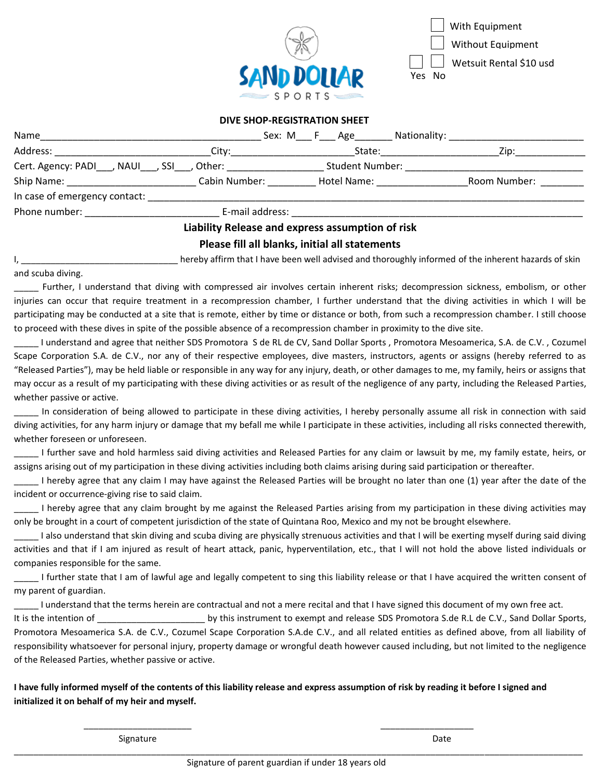

With Equipment Wetsuit Rental \$10 usd Without Equipment N<sub>o</sub>

 $\overline{a}$ 

## **DIVE SHOP-REGISTRATION SHEET**

| Name                                  |                                                               | Sex: M F Age Nationality:                                                                                      |              |
|---------------------------------------|---------------------------------------------------------------|----------------------------------------------------------------------------------------------------------------|--------------|
| Address: __________________________   | __City:______________________                                 | State: _________________                                                                                       | Zip:         |
|                                       | Cert. Agency: PADI___, NAUI___, SSI___, Other: ______________ | <b>Student Number:</b>                                                                                         |              |
|                                       | Ship Name: Cabin Number:                                      | Hotel Name: Name                                                                                               | Room Number: |
|                                       |                                                               |                                                                                                                |              |
| Phone number: <u>________________</u> |                                                               | E-mail address: National Action of the Contractor of the Contractor of the Contractor of the Contractor of the |              |
|                                       |                                                               | Liability Release and express assumption of risk                                                               |              |
|                                       |                                                               | Please fill all blanks, initial all statements                                                                 |              |

hereby affirm that I have been well advised and thoroughly informed of the inherent hazards of skin

and scuba diving.

Further, I understand that diving with compressed air involves certain inherent risks; decompression sickness, embolism, or other injuries can occur that require treatment in a recompression chamber, I further understand that the diving activities in which I will be participating may be conducted at a site that is remote, either by time or distance or both, from such a recompression chamber. I still choose to proceed with these dives in spite of the possible absence of a recompression chamber in proximity to the dive site.

I understand and agree that neither SDS Promotora S de RL de CV, Sand Dollar Sports , Promotora Mesoamerica, S.A. de C.V. , Cozumel Scape Corporation S.A. de C.V., nor any of their respective employees, dive masters, instructors, agents or assigns (hereby referred to as "Released Parties"), may be held liable or responsible in any way for any injury, death, or other damages to me, my family, heirs or assigns that may occur as a result of my participating with these diving activities or as result of the negligence of any party, including the Released Parties, whether passive or active.

In consideration of being allowed to participate in these diving activities, I hereby personally assume all risk in connection with said diving activities, for any harm injury or damage that my befall me while I participate in these activities, including all risks connected therewith, whether foreseen or unforeseen.

I further save and hold harmless said diving activities and Released Parties for any claim or lawsuit by me, my family estate, heirs, or assigns arising out of my participation in these diving activities including both claims arising during said participation or thereafter.

I hereby agree that any claim I may have against the Released Parties will be brought no later than one (1) year after the date of the incident or occurrence-giving rise to said claim.

\_\_\_\_\_ I hereby agree that any claim brought by me against the Released Parties arising from my participation in these diving activities may only be brought in a court of competent jurisdiction of the state of Quintana Roo, Mexico and my not be brought elsewhere.

\_\_\_\_\_ I also understand that skin diving and scuba diving are physically strenuous activities and that I will be exerting myself during said diving activities and that if I am injured as result of heart attack, panic, hyperventilation, etc., that I will not hold the above listed individuals or companies responsible for the same.

I further state that I am of lawful age and legally competent to sing this liability release or that I have acquired the written consent of my parent of guardian.

I understand that the terms herein are contractual and not a mere recital and that I have signed this document of my own free act.

It is the intention of Term and the instrument to exempt and release SDS Promotora S.de R.L de C.V., Sand Dollar Sports, Promotora Mesoamerica S.A. de C.V., Cozumel Scape Corporation S.A.de C.V., and all related entities as defined above, from all liability of responsibility whatsoever for personal injury, property damage or wrongful death however caused including, but not limited to the negligence of the Released Parties, whether passive or active.

**I have fully informed myself of the contents of this liability release and express assumption of risk by reading it before I signed and initialized it on behalf of my heir and myself.** 

 $\frac{1}{2}$  ,  $\frac{1}{2}$  ,  $\frac{1}{2}$  ,  $\frac{1}{2}$  ,  $\frac{1}{2}$  ,  $\frac{1}{2}$  ,  $\frac{1}{2}$  ,  $\frac{1}{2}$  ,  $\frac{1}{2}$  ,  $\frac{1}{2}$  ,  $\frac{1}{2}$  ,  $\frac{1}{2}$  ,  $\frac{1}{2}$  ,  $\frac{1}{2}$  ,  $\frac{1}{2}$  ,  $\frac{1}{2}$  ,  $\frac{1}{2}$  ,  $\frac{1}{2}$  ,  $\frac{1$ 

Signature Date **Date** 

\_\_\_\_\_\_\_\_\_\_\_\_\_\_\_\_\_\_\_\_\_\_\_\_\_\_\_\_\_\_\_\_\_\_\_\_\_\_\_\_\_\_\_\_\_\_\_\_\_\_\_\_\_\_\_\_\_\_\_\_\_\_\_\_\_\_\_\_\_\_\_\_\_\_\_\_\_\_\_\_\_\_\_\_\_\_\_\_\_\_\_\_\_\_\_\_\_\_\_\_\_\_\_\_\_\_\_\_\_\_\_\_\_\_\_\_